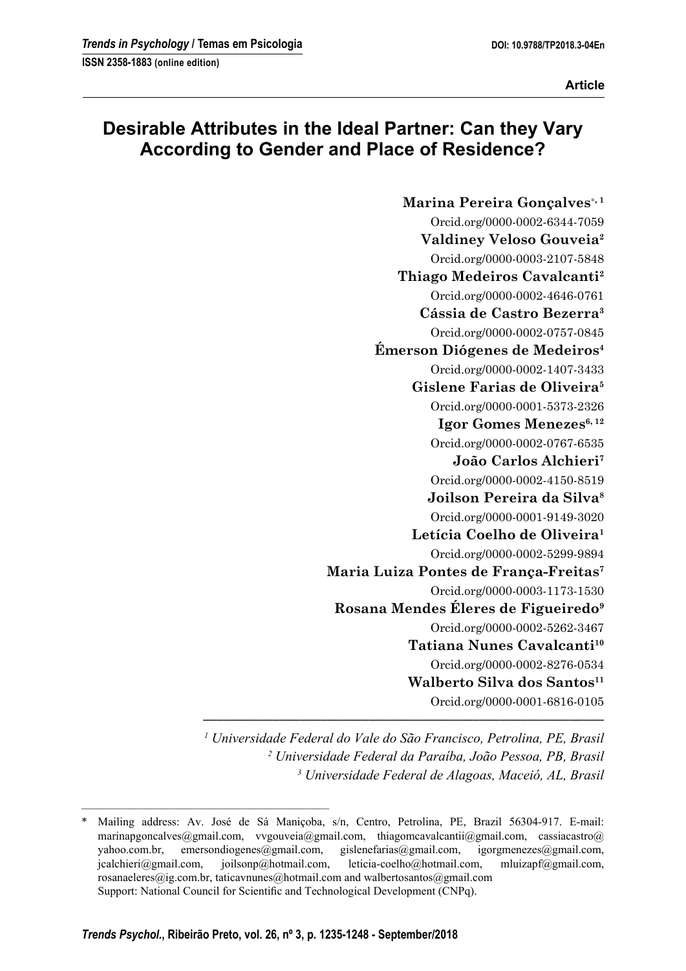# **Desirable Attributes in the Ideal Partner: Can they Vary According to Gender and Place of Residence?**

**Marina Pereira Gonçalves**∗**, 1** Orcid.org/0000-0002-6344-7059 **Valdiney Veloso Gouveia2** Orcid.org/0000-0003-2107-5848 **Thiago Medeiros Cavalcanti2** Orcid.org/0000-0002-4646-0761 **Cássia de Castro Bezerra3** Orcid.org/0000-0002-0757-0845 **Émerson Diógenes de Medeiros4** Orcid.org/0000-0002-1407-3433 **Gislene Farias de Oliveira5** Orcid.org/0000-0001-5373-2326 Igor Gomes Menezes<sup>6, 12</sup> Orcid.org/0000-0002-0767-6535 **João Carlos Alchieri7** Orcid.org/0000-0002-4150-8519 **Joilson Pereira da Silva8** Orcid.org/0000-0001-9149-3020 **Letícia Coelho de Oliveira1** Orcid.org/0000-0002-5299-9894 **Maria Luiza Pontes de França-Freitas7** Orcid.org/0000-0003-1173-1530 **Rosana Mendes Éleres de Figueiredo9** Orcid.org/0000-0002-5262-3467 **Tatiana Nunes Cavalcanti10** Orcid.org/0000-0002-8276-0534 Walberto Silva dos Santos<sup>11</sup> Orcid.org/0000-0001-6816-0105

*1 Universidade Federal do Vale do São Francisco, Petrolina, PE, Brasil 2 Universidade Federal da Paraíba, João Pessoa, PB, Brasil 3 Universidade Federal de Alagoas, Maceió, AL, Brasil*

**––––––––––––––––––––––––––––––––––––––––––––––––––––––––––**

–––––––––––––––––––––––––––––––––––––––––––

Mailing address: Av. José de Sá Maniçoba, s/n, Centro, Petrolina, PE, Brazil 56304-917. E-mail: marinapgoncalves@gmail.com, vvgouveia@gmail.com, thiagomcavalcantii@gmail.com, cassiacastro@ yahoo.com.br, emersondiogenes@gmail.com, gislenefarias@gmail.com, igorgmenezes@gmail.com, jcalchieri@gmail.com, joilsonp@hotmail.com, leticia-coelho@hotmail.com, mluizapf@gmail.com, rosanaeleres@ig.com.br, taticavnunes@hotmail.com and walbertosantos@gmail.com Support: National Council for Scientific and Technological Development (CNPq).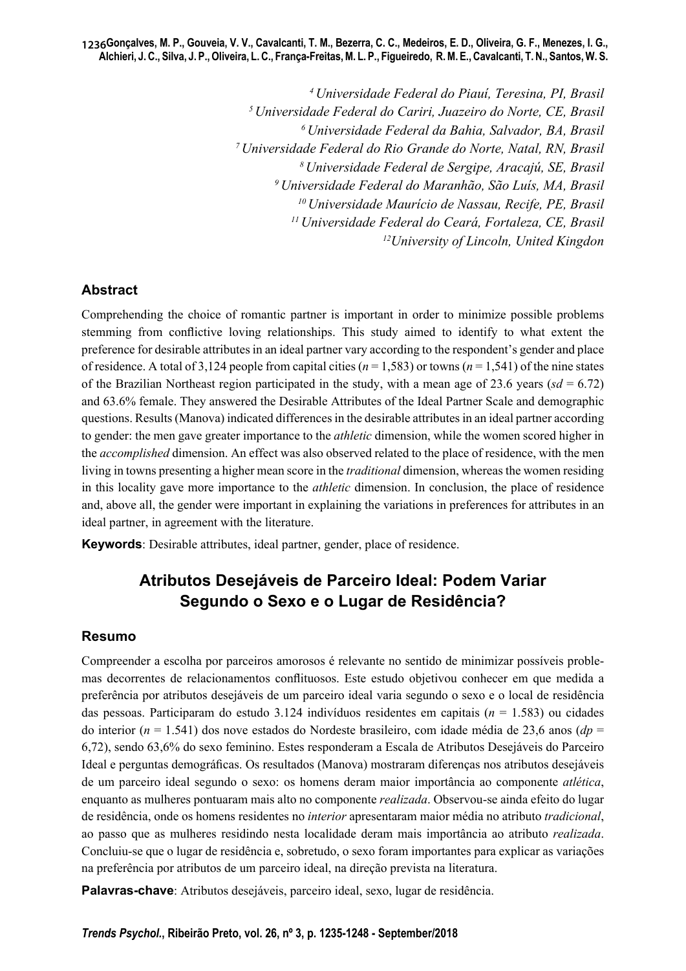**Gonçalves, M. P., Gouveia, V. V., Cavalcanti, T. M., Bezerra, C. C., Medeiros, E. D., Oliveira, G. F., Menezes, I. G., 1236 Alchieri, J. C., Silva, J. P., Oliveira, L. C., França-Freitas, M. L. P., Figueiredo, R. M. E., Cavalcanti, T. N., Santos, W. S.**

> *4 Universidade Federal do Piauí, Teresina, PI, Brasil 5 Universidade Federal do Cariri, Juazeiro do Norte, CE, Brasil 6 Universidade Federal da Bahia, Salvador, BA, Brasil 7 Universidade Federal do Rio Grande do Norte, Natal, RN, Brasil 8 Universidade Federal de Sergipe, Aracajú, SE, Brasil 9 Universidade Federal do Maranhão, São Luís, MA, Brasil 10 Universidade Maurício de Nassau, Recife, PE, Brasil 11 Universidade Federal do Ceará, Fortaleza, CE, Brasil*

> > *12University of Lincoln, United Kingdon*

#### **Abstract**

Comprehending the choice of romantic partner is important in order to minimize possible problems stemming from conflictive loving relationships. This study aimed to identify to what extent the preference for desirable attributes in an ideal partner vary according to the respondent's gender and place of residence. A total of 3,124 people from capital cities (*n* = 1,583) or towns (*n* = 1,541) of the nine states of the Brazilian Northeast region participated in the study, with a mean age of 23.6 years ( $sd = 6.72$ ) and 63.6% female. They answered the Desirable Attributes of the Ideal Partner Scale and demographic questions. Results (Manova) indicated differences in the desirable attributes in an ideal partner according to gender: the men gave greater importance to the *athletic* dimension, while the women scored higher in the *accomplished* dimension. An effect was also observed related to the place of residence, with the men living in towns presenting a higher mean score in the *traditional* dimension, whereas the women residing in this locality gave more importance to the *athletic* dimension. In conclusion, the place of residence and, above all, the gender were important in explaining the variations in preferences for attributes in an ideal partner, in agreement with the literature.

**Keywords**: Desirable attributes, ideal partner, gender, place of residence.

# **Atributos Desejáveis de Parceiro Ideal: Podem Variar Segundo o Sexo e o Lugar de Residência?**

#### **Resumo**

Compreender a escolha por parceiros amorosos é relevante no sentido de minimizar possíveis problemas decorrentes de relacionamentos conflituosos. Este estudo objetivou conhecer em que medida a preferência por atributos desejáveis de um parceiro ideal varia segundo o sexo e o local de residência das pessoas. Participaram do estudo 3.124 indivíduos residentes em capitais (*n* = 1.583) ou cidades do interior (*n* = 1.541) dos nove estados do Nordeste brasileiro, com idade média de 23,6 anos (*dp* = 6,72), sendo 63,6% do sexo feminino. Estes responderam a Escala de Atributos Desejáveis do Parceiro Ideal e perguntas demográficas. Os resultados (Manova) mostraram diferenças nos atributos desejáveis de um parceiro ideal segundo o sexo: os homens deram maior importância ao componente *atlética*, enquanto as mulheres pontuaram mais alto no componente *realizada*. Observou-se ainda efeito do lugar de residência, onde os homens residentes no *interior* apresentaram maior média no atributo *tradicional*, ao passo que as mulheres residindo nesta localidade deram mais importância ao atributo *realizada*. Concluiu-se que o lugar de residência e, sobretudo, o sexo foram importantes para explicar as variações na preferência por atributos de um parceiro ideal, na direção prevista na literatura.

**Palavras-chave**: Atributos desejáveis, parceiro ideal, sexo, lugar de residência.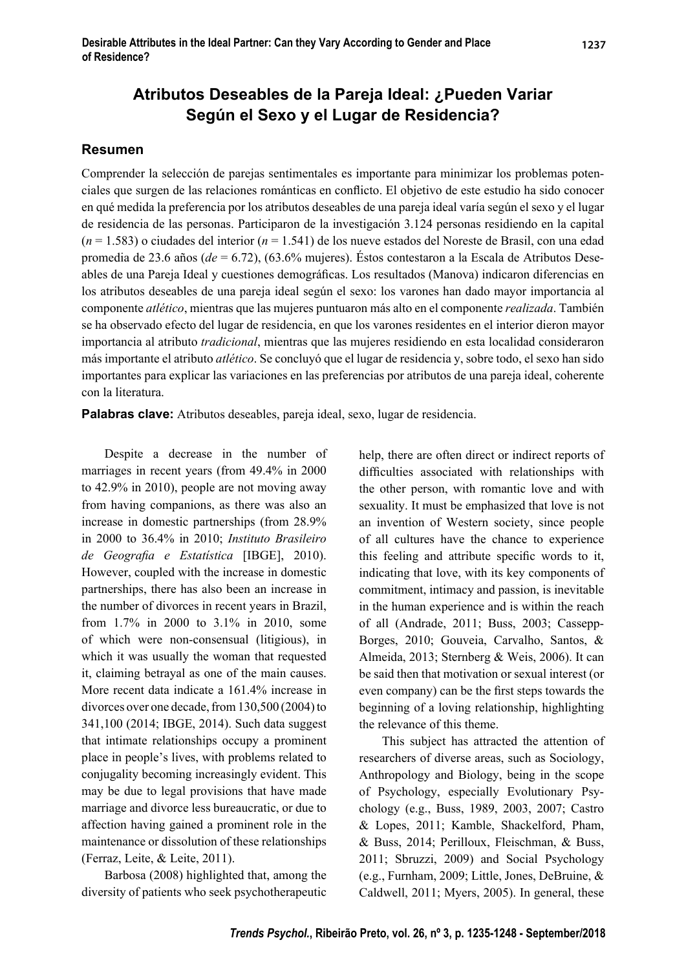# **Atributos Deseables de la Pareja Ideal: ¿Pueden Variar Según el Sexo y el Lugar de Residencia?**

### **Resumen**

Comprender la selección de parejas sentimentales es importante para minimizar los problemas potenciales que surgen de las relaciones románticas en conflicto. El objetivo de este estudio ha sido conocer en qué medida la preferencia por los atributos deseables de una pareja ideal varía según el sexo y el lugar de residencia de las personas. Participaron de la investigación 3.124 personas residiendo en la capital (*n* = 1.583) o ciudades del interior (*n* = 1.541) de los nueve estados del Noreste de Brasil, con una edad promedia de 23.6 años (*de* = 6.72), (63.6% mujeres). Éstos contestaron a la Escala de Atributos Deseables de una Pareja Ideal y cuestiones demográficas. Los resultados (Manova) indicaron diferencias en los atributos deseables de una pareja ideal según el sexo: los varones han dado mayor importancia al componente *atlético*, mientras que las mujeres puntuaron más alto en el componente *realizada*. También se ha observado efecto del lugar de residencia, en que los varones residentes en el interior dieron mayor importancia al atributo *tradicional*, mientras que las mujeres residiendo en esta localidad consideraron más importante el atributo *atlético*. Se concluyó que el lugar de residencia y, sobre todo, el sexo han sido importantes para explicar las variaciones en las preferencias por atributos de una pareja ideal, coherente con la literatura.

**Palabras clave:** Atributos deseables, pareja ideal, sexo, lugar de residencia.

Despite a decrease in the number of marriages in recent years (from 49.4% in 2000 to 42.9% in 2010), people are not moving away from having companions, as there was also an increase in domestic partnerships (from 28.9% in 2000 to 36.4% in 2010; *Instituto Brasileiro*  de Geografia e Estatística [IBGE], 2010). However, coupled with the increase in domestic partnerships, there has also been an increase in the number of divorces in recent years in Brazil, from 1.7% in 2000 to 3.1% in 2010, some of which were non-consensual (litigious), in which it was usually the woman that requested it, claiming betrayal as one of the main causes. More recent data indicate a 161.4% increase in divorces over one decade, from 130,500 (2004) to 341,100 (2014; IBGE, 2014). Such data suggest that intimate relationships occupy a prominent place in people's lives, with problems related to conjugality becoming increasingly evident. This may be due to legal provisions that have made marriage and divorce less bureaucratic, or due to affection having gained a prominent role in the maintenance or dissolution of these relationships (Ferraz, Leite, & Leite, 2011).

Barbosa (2008) highlighted that, among the diversity of patients who seek psychotherapeutic help, there are often direct or indirect reports of difficulties associated with relationships with the other person, with romantic love and with sexuality. It must be emphasized that love is not an invention of Western society, since people of all cultures have the chance to experience this feeling and attribute specific words to it, indicating that love, with its key components of commitment, intimacy and passion, is inevitable in the human experience and is within the reach of all (Andrade, 2011; Buss, 2003; Cassepp-Borges, 2010; Gouveia, Carvalho, Santos, & Almeida, 2013; Sternberg & Weis, 2006). It can be said then that motivation or sexual interest (or even company) can be the first steps towards the beginning of a loving relationship, highlighting the relevance of this theme.

This subject has attracted the attention of researchers of diverse areas, such as Sociology, Anthropology and Biology, being in the scope of Psychology, especially Evolutionary Psychology (e.g., Buss, 1989, 2003, 2007; Castro & Lopes, 2011; Kamble, Shackelford, Pham, & Buss, 2014; Perilloux, Fleischman, & Buss, 2011; Sbruzzi, 2009) and Social Psychology (e.g., Furnham, 2009; Little, Jones, DeBruine, & Caldwell, 2011; Myers, 2005). In general, these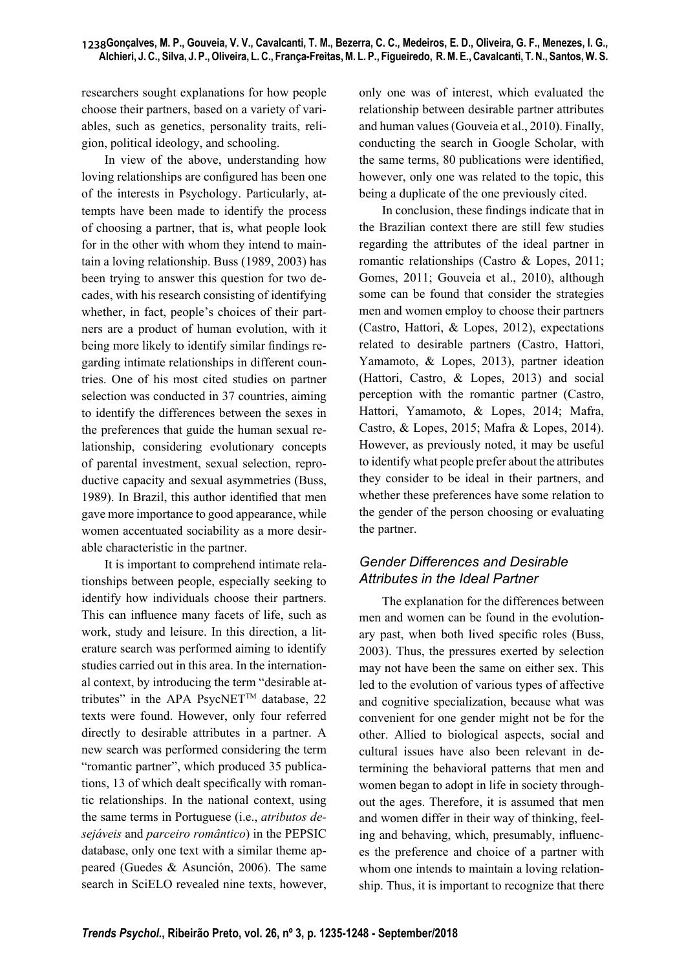researchers sought explanations for how people choose their partners, based on a variety of variables, such as genetics, personality traits, religion, political ideology, and schooling.

In view of the above, understanding how loving relationships are configured has been one of the interests in Psychology. Particularly, attempts have been made to identify the process of choosing a partner, that is, what people look for in the other with whom they intend to maintain a loving relationship. Buss (1989, 2003) has been trying to answer this question for two decades, with his research consisting of identifying whether, in fact, people's choices of their partners are a product of human evolution, with it being more likely to identify similar findings regarding intimate relationships in different countries. One of his most cited studies on partner selection was conducted in 37 countries, aiming to identify the differences between the sexes in the preferences that guide the human sexual relationship, considering evolutionary concepts of parental investment, sexual selection, reproductive capacity and sexual asymmetries (Buss, 1989). In Brazil, this author identified that men gave more importance to good appearance, while women accentuated sociability as a more desirable characteristic in the partner.

It is important to comprehend intimate relationships between people, especially seeking to identify how individuals choose their partners. This can influence many facets of life, such as work, study and leisure. In this direction, a literature search was performed aiming to identify studies carried out in this area. In the international context, by introducing the term "desirable attributes" in the APA PsycNET<sup>TM</sup> database, 22 texts were found. However, only four referred directly to desirable attributes in a partner. A new search was performed considering the term "romantic partner", which produced 35 publications, 13 of which dealt specifically with romantic relationships. In the national context, using the same terms in Portuguese (i.e., *atributos desejáveis* and *parceiro romântico*) in the PEPSIC database, only one text with a similar theme appeared (Guedes & Asunción, 2006). The same search in SciELO revealed nine texts, however, only one was of interest, which evaluated the relationship between desirable partner attributes and human values (Gouveia et al., 2010). Finally, conducting the search in Google Scholar, with the same terms, 80 publications were identified, however, only one was related to the topic, this being a duplicate of the one previously cited.

In conclusion, these findings indicate that in the Brazilian context there are still few studies regarding the attributes of the ideal partner in romantic relationships (Castro & Lopes, 2011; Gomes, 2011; Gouveia et al., 2010), although some can be found that consider the strategies men and women employ to choose their partners (Castro, Hattori, & Lopes, 2012), expectations related to desirable partners (Castro, Hattori, Yamamoto, & Lopes, 2013), partner ideation (Hattori, Castro, & Lopes, 2013) and social perception with the romantic partner (Castro, Hattori, Yamamoto, & Lopes, 2014; Mafra, Castro, & Lopes, 2015; Mafra & Lopes, 2014). However, as previously noted, it may be useful to identify what people prefer about the attributes they consider to be ideal in their partners, and whether these preferences have some relation to the gender of the person choosing or evaluating the partner.

# *Gender Differences and Desirable Attributes in the Ideal Partner*

The explanation for the differences between men and women can be found in the evolutionary past, when both lived specific roles (Buss, 2003). Thus, the pressures exerted by selection may not have been the same on either sex. This led to the evolution of various types of affective and cognitive specialization, because what was convenient for one gender might not be for the other. Allied to biological aspects, social and cultural issues have also been relevant in determining the behavioral patterns that men and women began to adopt in life in society throughout the ages. Therefore, it is assumed that men and women differ in their way of thinking, feeling and behaving, which, presumably, influences the preference and choice of a partner with whom one intends to maintain a loving relationship. Thus, it is important to recognize that there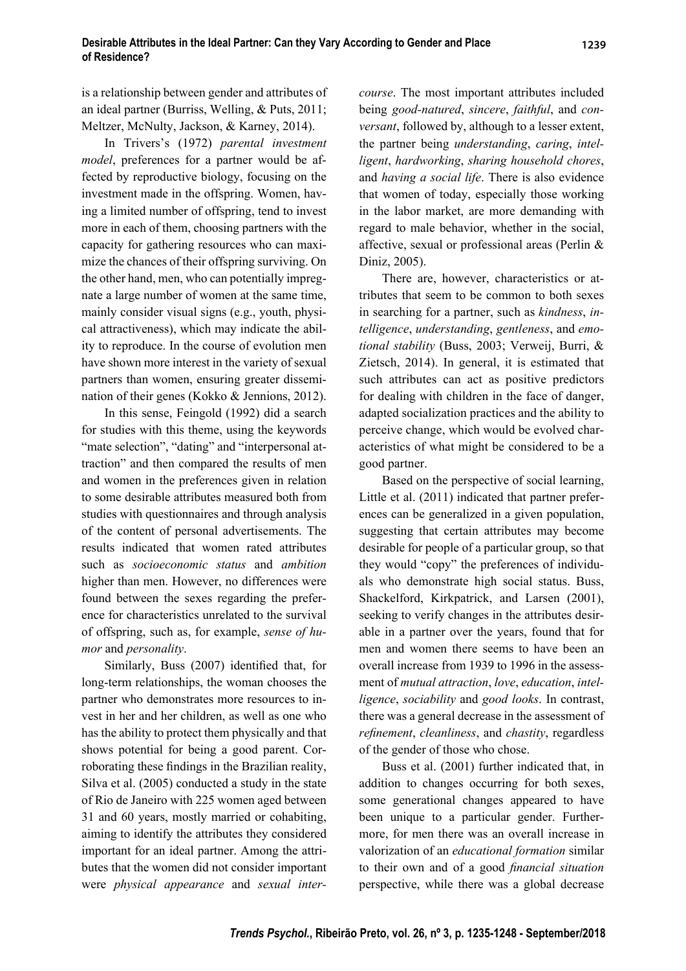is a relationship between gender and attributes of an ideal partner (Burriss, Welling, & Puts, 2011; Meltzer, McNulty, Jackson, & Karney, 2014).

In Trivers's (1972) *parental investment model*, preferences for a partner would be affected by reproductive biology, focusing on the investment made in the offspring. Women, having a limited number of offspring, tend to invest more in each of them, choosing partners with the capacity for gathering resources who can maximize the chances of their offspring surviving. On the other hand, men, who can potentially impregnate a large number of women at the same time, mainly consider visual signs (e.g., youth, physical attractiveness), which may indicate the ability to reproduce. In the course of evolution men have shown more interest in the variety of sexual partners than women, ensuring greater dissemination of their genes (Kokko & Jennions, 2012).

In this sense, Feingold (1992) did a search for studies with this theme, using the keywords "mate selection", "dating" and "interpersonal attraction" and then compared the results of men and women in the preferences given in relation to some desirable attributes measured both from studies with questionnaires and through analysis of the content of personal advertisements. The results indicated that women rated attributes such as *socioeconomic status* and *ambition* higher than men. However, no differences were found between the sexes regarding the preference for characteristics unrelated to the survival of offspring, such as, for example, *sense of humor* and *personality*.

Similarly, Buss (2007) identified that, for long-term relationships, the woman chooses the partner who demonstrates more resources to invest in her and her children, as well as one who has the ability to protect them physically and that shows potential for being a good parent. Corroborating these findings in the Brazilian reality, Silva et al. (2005) conducted a study in the state of Rio de Janeiro with 225 women aged between 31 and 60 years, mostly married or cohabiting, aiming to identify the attributes they considered important for an ideal partner. Among the attributes that the women did not consider important were *physical appearance* and *sexual inter-* *course*. The most important attributes included being *good-natured*, *sincere*, *faithful*, and *conversant*, followed by, although to a lesser extent, the partner being *understanding*, *caring*, *intelligent*, *hardworking*, *sharing household chores*, and *having a social life*. There is also evidence that women of today, especially those working in the labor market, are more demanding with regard to male behavior, whether in the social, affective, sexual or professional areas (Perlin & Diniz, 2005).

There are, however, characteristics or attributes that seem to be common to both sexes in searching for a partner, such as *kindness*, *intelligence*, *understanding*, *gentleness*, and *emotional stability* (Buss, 2003; Verweij, Burri, & Zietsch, 2014). In general, it is estimated that such attributes can act as positive predictors for dealing with children in the face of danger, adapted socialization practices and the ability to perceive change, which would be evolved characteristics of what might be considered to be a good partner.

Based on the perspective of social learning, Little et al. (2011) indicated that partner preferences can be generalized in a given population, suggesting that certain attributes may become desirable for people of a particular group, so that they would "copy" the preferences of individuals who demonstrate high social status. Buss, Shackelford, Kirkpatrick, and Larsen (2001), seeking to verify changes in the attributes desirable in a partner over the years, found that for men and women there seems to have been an overall increase from 1939 to 1996 in the assessment of *mutual attraction*, *love*, *education*, *intelligence*, *sociability* and *good looks*. In contrast, there was a general decrease in the assessment of *refinement, cleanliness, and <i>chastity*, regardless of the gender of those who chose.

Buss et al. (2001) further indicated that, in addition to changes occurring for both sexes, some generational changes appeared to have been unique to a particular gender. Furthermore, for men there was an overall increase in valorization of an *educational formation* similar to their own and of a good *financial situation* perspective, while there was a global decrease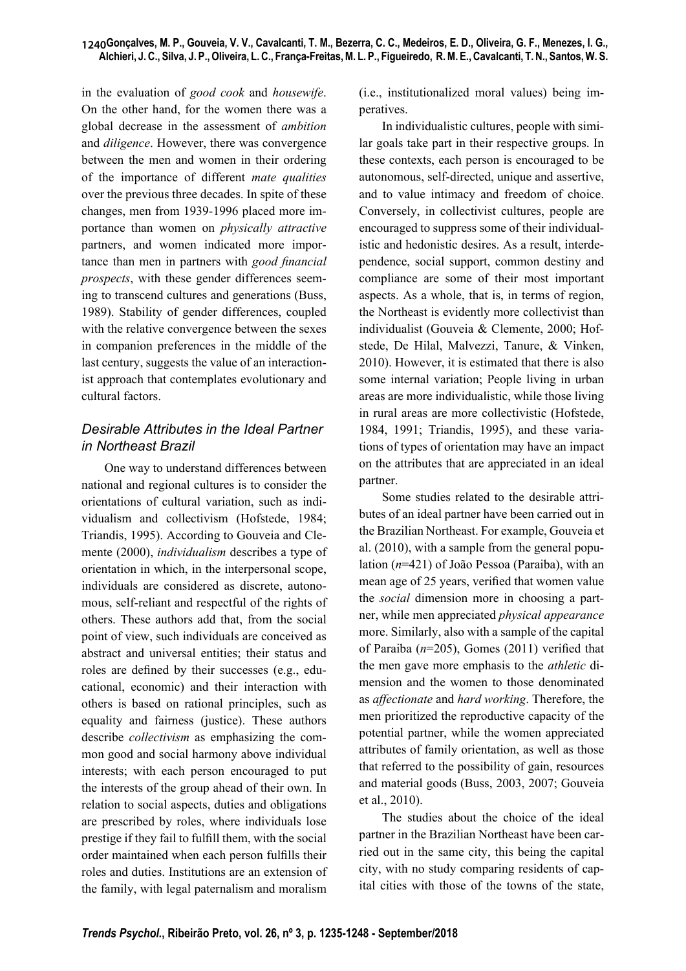in the evaluation of *good cook* and *housewife*. On the other hand, for the women there was a global decrease in the assessment of *ambition* and *diligence*. However, there was convergence between the men and women in their ordering of the importance of different *mate qualities* over the previous three decades. In spite of these changes, men from 1939-1996 placed more importance than women on *physically attractive* partners, and women indicated more importance than men in partners with *good financial prospects*, with these gender differences seeming to transcend cultures and generations (Buss, 1989). Stability of gender differences, coupled with the relative convergence between the sexes in companion preferences in the middle of the last century, suggests the value of an interactionist approach that contemplates evolutionary and cultural factors.

# *Desirable Attributes in the Ideal Partner in Northeast Brazil*

One way to understand differences between national and regional cultures is to consider the orientations of cultural variation, such as individualism and collectivism (Hofstede, 1984; Triandis, 1995). According to Gouveia and Clemente (2000), *individualism* describes a type of orientation in which, in the interpersonal scope, individuals are considered as discrete, autonomous, self-reliant and respectful of the rights of others. These authors add that, from the social point of view, such individuals are conceived as abstract and universal entities; their status and roles are defined by their successes (e.g., educational, economic) and their interaction with others is based on rational principles, such as equality and fairness (justice). These authors describe *collectivism* as emphasizing the common good and social harmony above individual interests; with each person encouraged to put the interests of the group ahead of their own. In relation to social aspects, duties and obligations are prescribed by roles, where individuals lose prestige if they fail to fulfill them, with the social order maintained when each person fulfills their roles and duties. Institutions are an extension of the family, with legal paternalism and moralism (i.e., institutionalized moral values) being imperatives.

In individualistic cultures, people with similar goals take part in their respective groups. In these contexts, each person is encouraged to be autonomous, self-directed, unique and assertive, and to value intimacy and freedom of choice. Conversely, in collectivist cultures, people are encouraged to suppress some of their individualistic and hedonistic desires. As a result, interdependence, social support, common destiny and compliance are some of their most important aspects. As a whole, that is, in terms of region, the Northeast is evidently more collectivist than individualist (Gouveia & Clemente, 2000; Hofstede, De Hilal, Malvezzi, Tanure, & Vinken, 2010). However, it is estimated that there is also some internal variation; People living in urban areas are more individualistic, while those living in rural areas are more collectivistic (Hofstede, 1984, 1991; Triandis, 1995), and these variations of types of orientation may have an impact on the attributes that are appreciated in an ideal partner.

Some studies related to the desirable attributes of an ideal partner have been carried out in the Brazilian Northeast. For example, Gouveia et al. (2010), with a sample from the general population (*n*=421) of João Pessoa (Paraiba), with an mean age of 25 years, verified that women value the *social* dimension more in choosing a partner, while men appreciated *physical appearance*  more. Similarly, also with a sample of the capital of Paraiba  $(n=205)$ , Gomes (2011) verified that the men gave more emphasis to the *athletic* dimension and the women to those denominated as *affectionate* and *hard working*. Therefore, the men prioritized the reproductive capacity of the potential partner, while the women appreciated attributes of family orientation, as well as those that referred to the possibility of gain, resources and material goods (Buss, 2003, 2007; Gouveia et al., 2010).

The studies about the choice of the ideal partner in the Brazilian Northeast have been carried out in the same city, this being the capital city, with no study comparing residents of capital cities with those of the towns of the state,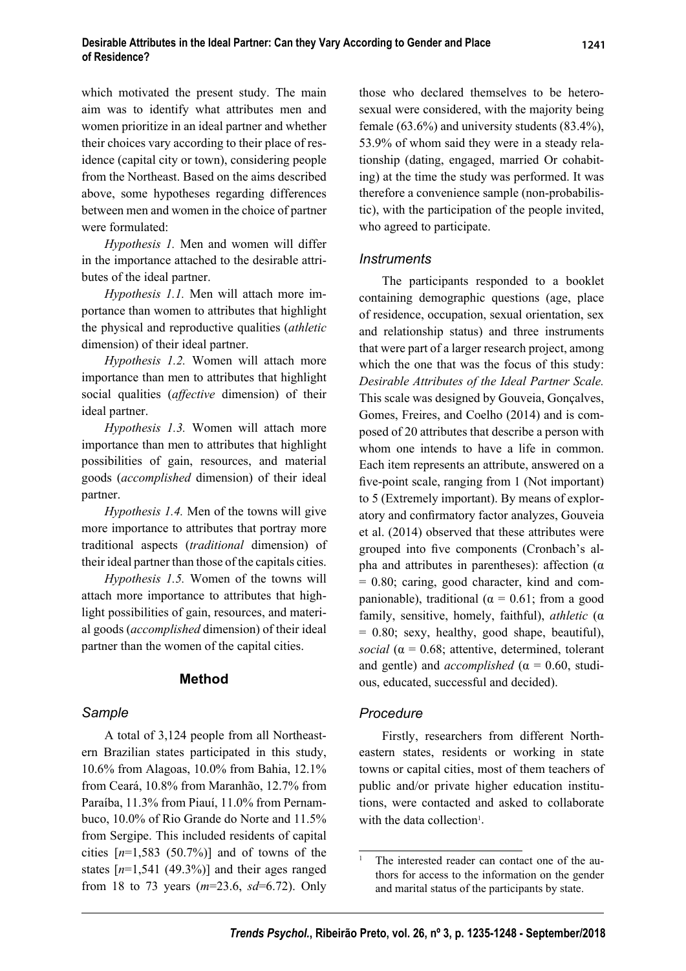which motivated the present study. The main aim was to identify what attributes men and women prioritize in an ideal partner and whether their choices vary according to their place of residence (capital city or town), considering people from the Northeast. Based on the aims described above, some hypotheses regarding differences between men and women in the choice of partner were formulated:

*Hypothesis 1.* Men and women will differ in the importance attached to the desirable attributes of the ideal partner.

*Hypothesis 1.1.* Men will attach more importance than women to attributes that highlight the physical and reproductive qualities (*athletic* dimension) of their ideal partner.

*Hypothesis 1.2.* Women will attach more importance than men to attributes that highlight social qualities (*affective* dimension) of their ideal partner.

*Hypothesis 1.3.* Women will attach more importance than men to attributes that highlight possibilities of gain, resources, and material goods (*accomplished* dimension) of their ideal partner.

*Hypothesis 1.4.* Men of the towns will give more importance to attributes that portray more traditional aspects (*traditional* dimension) of their ideal partner than those of the capitals cities.

*Hypothesis 1.5.* Women of the towns will attach more importance to attributes that highlight possibilities of gain, resources, and material goods (*accomplished* dimension) of their ideal partner than the women of the capital cities.

### **Method**

#### *Sample*

A total of 3,124 people from all Northeastern Brazilian states participated in this study, 10.6% from Alagoas, 10.0% from Bahia, 12.1% from Ceará, 10.8% from Maranhão, 12.7% from Paraíba, 11.3% from Piauí, 11.0% from Pernambuco, 10.0% of Rio Grande do Norte and 11.5% from Sergipe. This included residents of capital cities  $[n=1,583 (50.7%)]$  and of towns of the states  $[n=1,541 (49.3\%)$ ] and their ages ranged from 18 to 73 years (*m*=23.6, *sd*=6.72). Only those who declared themselves to be heterosexual were considered, with the majority being female (63.6%) and university students (83.4%), 53.9% of whom said they were in a steady relationship (dating, engaged, married Or cohabiting) at the time the study was performed. It was therefore a convenience sample (non-probabilistic), with the participation of the people invited, who agreed to participate.

#### *Instruments*

The participants responded to a booklet containing demographic questions (age, place of residence, occupation, sexual orientation, sex and relationship status) and three instruments that were part of a larger research project, among which the one that was the focus of this study: *Desirable Attributes of the Ideal Partner Scale.* This scale was designed by Gouveia, Gonçalves, Gomes, Freires, and Coelho (2014) and is composed of 20 attributes that describe a person with whom one intends to have a life in common. Each item represents an attribute, answered on a five-point scale, ranging from 1 (Not important) to 5 (Extremely important). By means of exploratory and confirmatory factor analyzes, Gouveia et al. (2014) observed that these attributes were grouped into five components (Cronbach's alpha and attributes in parentheses): affection ( $α$ = 0.80; caring, good character, kind and companionable), traditional ( $\alpha = 0.61$ ; from a good family, sensitive, homely, faithful), *athletic* (α = 0.80; sexy, healthy, good shape, beautiful), *social* ( $\alpha$  = 0.68; attentive, determined, tolerant and gentle) and *accomplished* ( $\alpha$  = 0.60, studious, educated, successful and decided).

#### *Procedure*

1

Firstly, researchers from different Northeastern states, residents or working in state towns or capital cities, most of them teachers of public and/or private higher education institutions, were contacted and asked to collaborate with the data collection<sup>1</sup>.

The interested reader can contact one of the authors for access to the information on the gender and marital status of the participants by state.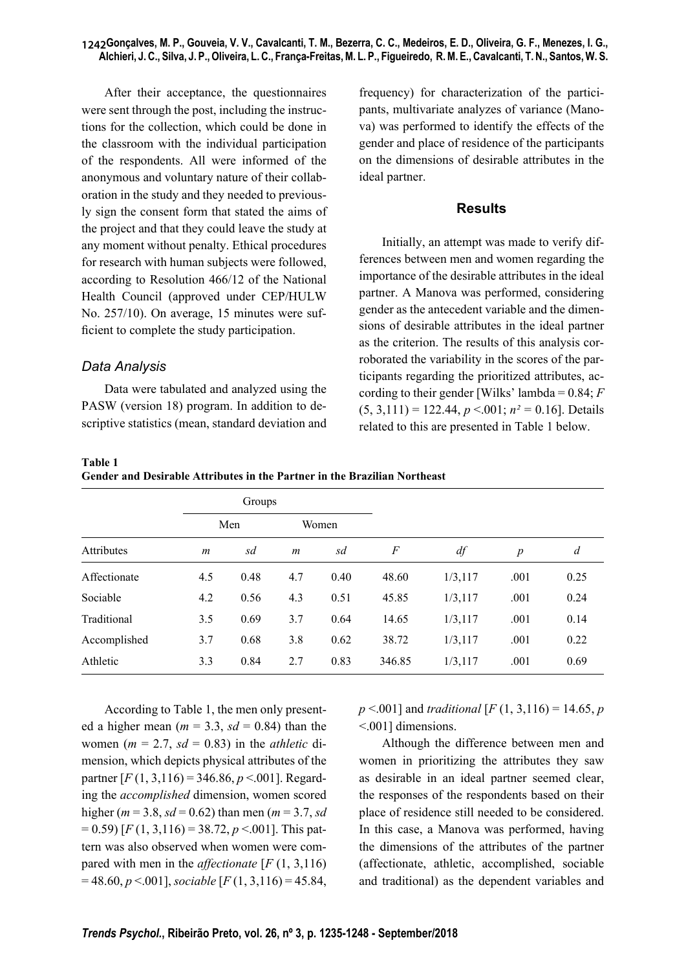After their acceptance, the questionnaires were sent through the post, including the instructions for the collection, which could be done in the classroom with the individual participation of the respondents. All were informed of the anonymous and voluntary nature of their collaboration in the study and they needed to previously sign the consent form that stated the aims of the project and that they could leave the study at any moment without penalty. Ethical procedures for research with human subjects were followed, according to Resolution 466/12 of the National Health Council (approved under CEP/HULW No. 257/10). On average, 15 minutes were sufficient to complete the study participation.

# *Data Analysis*

Data were tabulated and analyzed using the PASW (version 18) program. In addition to descriptive statistics (mean, standard deviation and frequency) for characterization of the participants, multivariate analyzes of variance (Manova) was performed to identify the effects of the gender and place of residence of the participants on the dimensions of desirable attributes in the ideal partner.

# **Results**

Initially, an attempt was made to verify differences between men and women regarding the importance of the desirable attributes in the ideal partner. A Manova was performed, considering gender as the antecedent variable and the dimensions of desirable attributes in the ideal partner as the criterion. The results of this analysis corroborated the variability in the scores of the participants regarding the prioritized attributes, according to their gender [Wilks' lambda = 0.84; *F* (5, 3,111) = 122.44, *p* <.001; *n² =* 0.16]. Details related to this are presented in Table 1 below.

#### **Table 1**

|  |  |  |  |  |  |  |  |  | Gender and Desirable Attributes in the Partner in the Brazilian Northeast |
|--|--|--|--|--|--|--|--|--|---------------------------------------------------------------------------|
|--|--|--|--|--|--|--|--|--|---------------------------------------------------------------------------|

|                   |                  | Groups |                  |      |        |          |                  |                |
|-------------------|------------------|--------|------------------|------|--------|----------|------------------|----------------|
|                   | Men              |        | Women            |      |        |          |                  |                |
| <b>Attributes</b> | $\boldsymbol{m}$ | sd     | $\boldsymbol{m}$ | sd   | $\,F$  | df       | $\boldsymbol{p}$ | $\overline{d}$ |
| Affectionate      | 4.5              | 0.48   | 4.7              | 0.40 | 48.60  | 1/3, 117 | .001             | 0.25           |
| Sociable          | 4.2              | 0.56   | 4.3              | 0.51 | 45.85  | 1/3, 117 | .001             | 0.24           |
| Traditional       | 3.5              | 0.69   | 3.7              | 0.64 | 14.65  | 1/3, 117 | .001             | 0.14           |
| Accomplished      | 3.7              | 0.68   | 3.8              | 0.62 | 38.72  | 1/3, 117 | .001             | 0.22           |
| Athletic          | 3.3              | 0.84   | 2.7              | 0.83 | 346.85 | 1/3, 117 | .001             | 0.69           |

According to Table 1, the men only presented a higher mean ( $m = 3.3$ ,  $sd = 0.84$ ) than the women ( $m = 2.7$ ,  $sd = 0.83$ ) in the *athletic* dimension, which depicts physical attributes of the partner [*F* (1, 3,116) = 346.86, *p* <.001]. Regarding the *accomplished* dimension, women scored higher (*m* = 3.8, *sd* = 0.62) than men (*m* = 3.7, *sd*  $= 0.59$  [*F* (1, 3,116) = 38.72, *p* <.001]. This pattern was also observed when women were compared with men in the *affectionate* [*F* (1, 3,116) = 48.60, *p* <.001], *sociable* [*F* (1, 3,116) = 45.84, *p* <.001] and *traditional* [*F* (1, 3,116) = 14.65, *p*  <.001] dimensions.

Although the difference between men and women in prioritizing the attributes they saw as desirable in an ideal partner seemed clear, the responses of the respondents based on their place of residence still needed to be considered. In this case, a Manova was performed, having the dimensions of the attributes of the partner (affectionate, athletic, accomplished, sociable and traditional) as the dependent variables and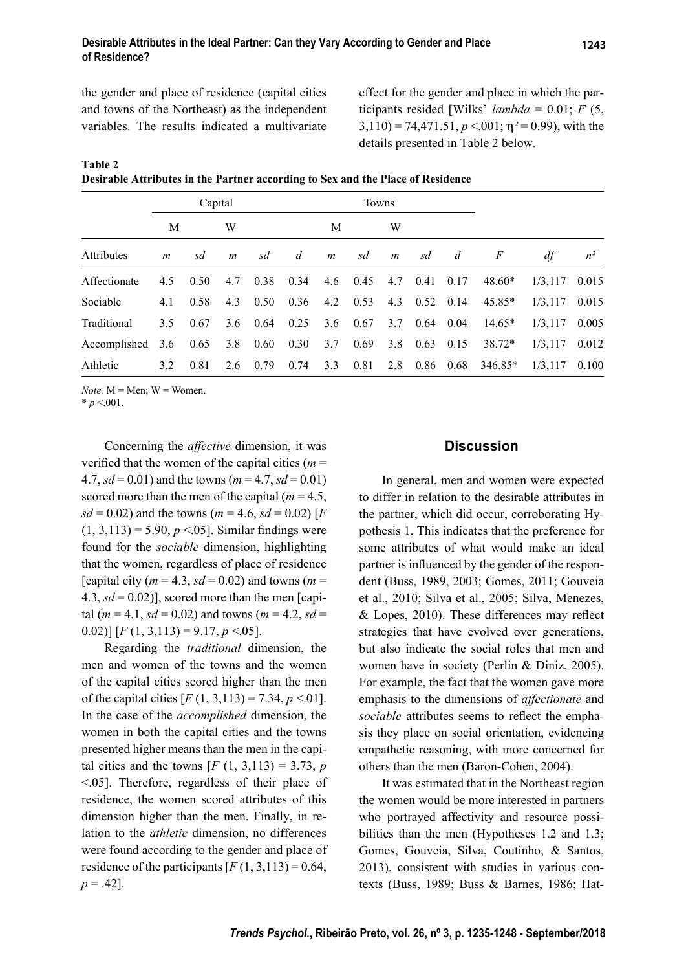the gender and place of residence (capital cities and towns of the Northeast) as the independent variables. The results indicated a multivariate

effect for the gender and place in which the participants resided [Wilks' *lambda* =  $0.01$ ; *F* (5, 3,110) = 74,471.51, *p* <.001; η*²* = 0.99), with the details presented in Table 2 below.

| Desirable Attributes in the Partner according to Sex and the Place of Residence |                |      |                |      |                |       |                 |                |                     |                |          |          |       |
|---------------------------------------------------------------------------------|----------------|------|----------------|------|----------------|-------|-----------------|----------------|---------------------|----------------|----------|----------|-------|
|                                                                                 | Capital        |      |                |      |                | Towns |                 |                |                     |                |          |          |       |
|                                                                                 | M              |      | W              |      |                | M     |                 | W              |                     |                |          |          |       |
| Attributes                                                                      | $\mathfrak{m}$ | sd   | $\mathfrak{m}$ | sd   | $\overline{d}$ | m     | sd              | $\mathfrak{m}$ | sd                  | $\overline{d}$ | F        | df       | $n^2$ |
| Affectionate                                                                    | 4.5            | 0.50 | 4.7            | 0.38 | 0.34           |       | 4.6 0.45        |                | $4.7$ $0.41$ $0.17$ |                | $48.60*$ | 1/3, 117 | 0.015 |
| Sociable                                                                        | 4.1            | 0.58 | 4.3            | 0.50 | 0.36           |       | $4.2\quad 0.53$ |                | 4.3 $0.52$ 0.14     |                | $45.85*$ | 1/3, 117 | 0.015 |
| Traditional                                                                     | 3.5            | 0.67 | 3.6            | 0.64 | 0.25           | 3.6   | 0.67            | 3.7            | $0.64$ 0.04         |                | $14.65*$ | 1/3, 117 | 0.005 |
| Accomplished                                                                    | 3.6            | 0.65 | 3.8            | 0.60 | 0.30           | 3.7   | 0.69            | 3.8            | 0.63                | 0.15           | $38.72*$ | 1/3, 117 | 0.012 |

Athletic 3.2 0.81 2.6 0.79 0.74 3.3 0.81 2.8 0.86 0.68 346.85\* 1/3,117 0.100

**Table 2**

*Note.*  $M =$  Men;  $W =$  Women.

 $*$   $p$  <.001.

Concerning the *affective* dimension, it was verified that the women of the capital cities ( $m =$ 4.7,  $sd = 0.01$ ) and the towns ( $m = 4.7$ ,  $sd = 0.01$ ) scored more than the men of the capital (*m* = 4.5, *sd* = 0.02) and the towns ( $m = 4.6$ ,  $sd = 0.02$ ) [*F*  $(1, 3, 113) = 5.90, p < .05$ . Similar findings were found for the *sociable* dimension, highlighting that the women, regardless of place of residence [capital city ( $m = 4.3$ ,  $sd = 0.02$ ) and towns ( $m =$ 4.3,  $sd = 0.02$ ], scored more than the men [capital ( $m = 4.1$ ,  $sd = 0.02$ ) and towns ( $m = 4.2$ ,  $sd =$ 0.02)]  $[F(1, 3, 113) = 9.17, p < 0.05]$ .

Regarding the *traditional* dimension, the men and women of the towns and the women of the capital cities scored higher than the men of the capital cities  $[F(1, 3, 113) = 7.34, p < 0.01]$ . In the case of the *accomplished* dimension, the women in both the capital cities and the towns presented higher means than the men in the capital cities and the towns  $[F (1, 3, 113) = 3.73, p]$ <.05]. Therefore, regardless of their place of residence, the women scored attributes of this dimension higher than the men. Finally, in relation to the *athletic* dimension, no differences were found according to the gender and place of residence of the participants  $[F(1, 3, 113) = 0.64]$ ,  $p = .42$ ].

### **Discussion**

In general, men and women were expected to differ in relation to the desirable attributes in the partner, which did occur, corroborating Hypothesis 1. This indicates that the preference for some attributes of what would make an ideal partner is influenced by the gender of the respondent (Buss, 1989, 2003; Gomes, 2011; Gouveia et al., 2010; Silva et al., 2005; Silva, Menezes,  $&$  Lopes, 2010). These differences may reflect strategies that have evolved over generations, but also indicate the social roles that men and women have in society (Perlin & Diniz, 2005). For example, the fact that the women gave more emphasis to the dimensions of *affectionate* and sociable attributes seems to reflect the emphasis they place on social orientation, evidencing empathetic reasoning, with more concerned for others than the men (Baron-Cohen, 2004).

It was estimated that in the Northeast region the women would be more interested in partners who portrayed affectivity and resource possibilities than the men (Hypotheses 1.2 and 1.3; Gomes, Gouveia, Silva, Coutinho, & Santos, 2013), consistent with studies in various contexts (Buss, 1989; Buss & Barnes, 1986; Hat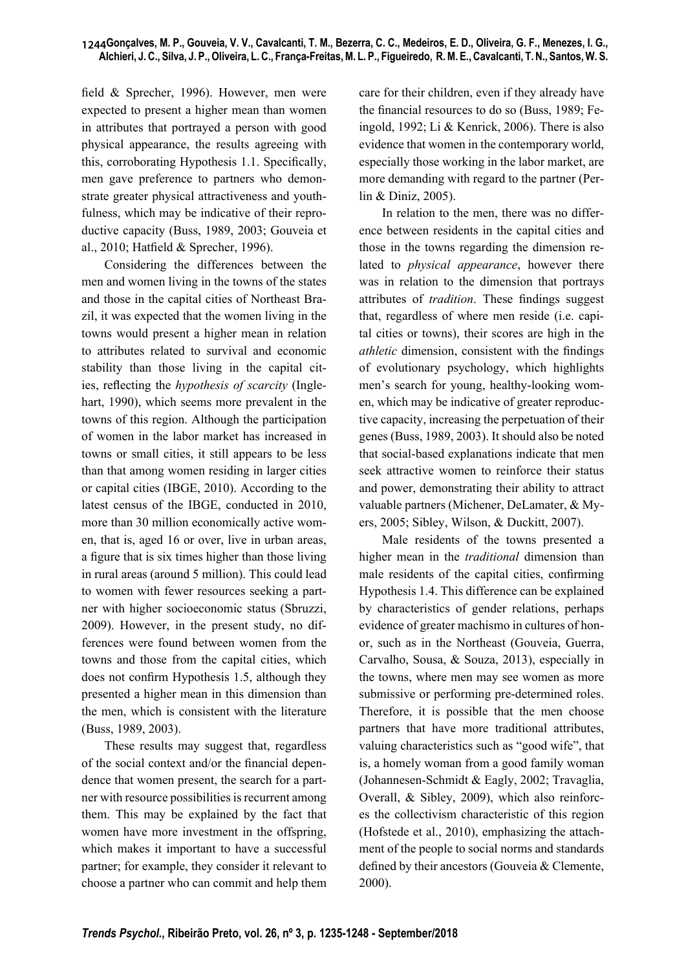field  $&$  Sprecher, 1996). However, men were expected to present a higher mean than women in attributes that portrayed a person with good physical appearance, the results agreeing with this, corroborating Hypothesis 1.1. Specifically, men gave preference to partners who demonstrate greater physical attractiveness and youthfulness, which may be indicative of their reproductive capacity (Buss, 1989, 2003; Gouveia et al., 2010; Hatfield & Sprecher, 1996).

Considering the differences between the men and women living in the towns of the states and those in the capital cities of Northeast Brazil, it was expected that the women living in the towns would present a higher mean in relation to attributes related to survival and economic stability than those living in the capital cities, reflecting the *hypothesis of scarcity* (Inglehart, 1990), which seems more prevalent in the towns of this region. Although the participation of women in the labor market has increased in towns or small cities, it still appears to be less than that among women residing in larger cities or capital cities (IBGE, 2010). According to the latest census of the IBGE, conducted in 2010, more than 30 million economically active women, that is, aged 16 or over, live in urban areas, a figure that is six times higher than those living in rural areas (around 5 million). This could lead to women with fewer resources seeking a partner with higher socioeconomic status (Sbruzzi, 2009). However, in the present study, no differences were found between women from the towns and those from the capital cities, which does not confirm Hypothesis  $1.5$ , although they presented a higher mean in this dimension than the men, which is consistent with the literature (Buss, 1989, 2003).

These results may suggest that, regardless of the social context and/or the financial dependence that women present, the search for a partner with resource possibilities is recurrent among them. This may be explained by the fact that women have more investment in the offspring, which makes it important to have a successful partner; for example, they consider it relevant to choose a partner who can commit and help them care for their children, even if they already have the financial resources to do so (Buss, 1989; Feingold, 1992; Li & Kenrick, 2006). There is also evidence that women in the contemporary world, especially those working in the labor market, are more demanding with regard to the partner (Perlin & Diniz, 2005).

In relation to the men, there was no difference between residents in the capital cities and those in the towns regarding the dimension related to *physical appearance*, however there was in relation to the dimension that portrays attributes of *tradition*. These findings suggest that, regardless of where men reside (i.e. capital cities or towns), their scores are high in the *athletic* dimension, consistent with the findings of evolutionary psychology, which highlights men's search for young, healthy-looking women, which may be indicative of greater reproductive capacity, increasing the perpetuation of their genes (Buss, 1989, 2003). It should also be noted that social-based explanations indicate that men seek attractive women to reinforce their status and power, demonstrating their ability to attract valuable partners (Michener, DeLamater, & Myers, 2005; Sibley, Wilson, & Duckitt, 2007).

Male residents of the towns presented a higher mean in the *traditional* dimension than male residents of the capital cities, confirming Hypothesis 1.4. This difference can be explained by characteristics of gender relations, perhaps evidence of greater machismo in cultures of honor, such as in the Northeast (Gouveia, Guerra, Carvalho, Sousa, & Souza, 2013), especially in the towns, where men may see women as more submissive or performing pre-determined roles. Therefore, it is possible that the men choose partners that have more traditional attributes, valuing characteristics such as "good wife", that is, a homely woman from a good family woman (Johannesen-Schmidt & Eagly, 2002; Travaglia, Overall, & Sibley, 2009), which also reinforces the collectivism characteristic of this region (Hofstede et al., 2010), emphasizing the attachment of the people to social norms and standards defined by their ancestors (Gouveia  $&$  Clemente, 2000).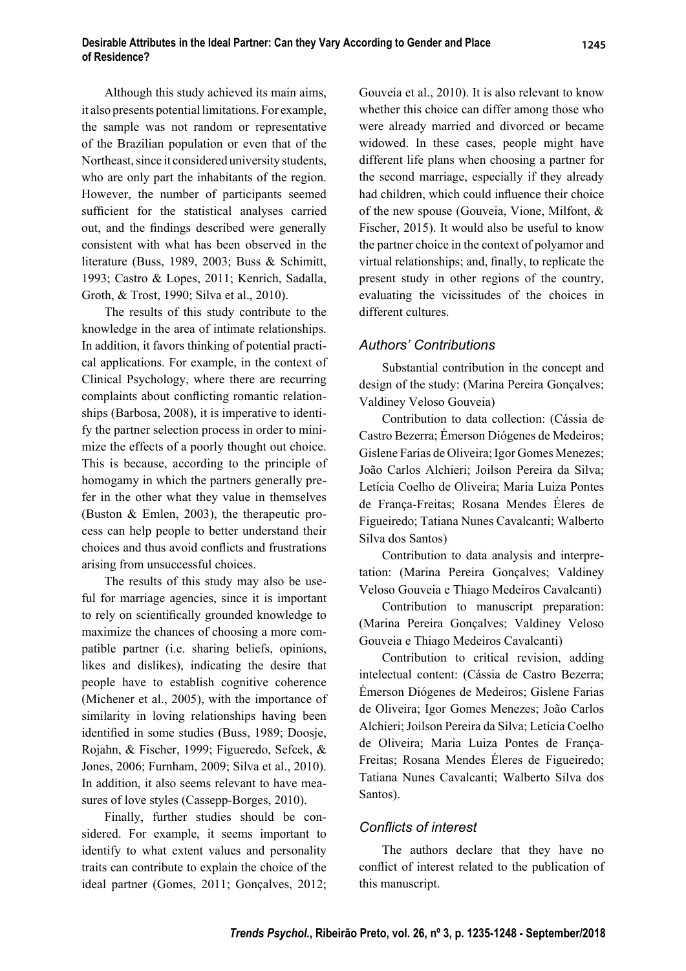Although this study achieved its main aims, it also presents potential limitations. For example, the sample was not random or representative of the Brazilian population or even that of the Northeast, since it considered university students, who are only part the inhabitants of the region. However, the number of participants seemed sufficient for the statistical analyses carried out, and the findings described were generally consistent with what has been observed in the literature (Buss, 1989, 2003; Buss & Schimitt, 1993; Castro & Lopes, 2011; Kenrich, Sadalla, Groth, & Trost, 1990; Silva et al., 2010).

The results of this study contribute to the knowledge in the area of intimate relationships. In addition, it favors thinking of potential practical applications. For example, in the context of Clinical Psychology, where there are recurring complaints about conflicting romantic relationships (Barbosa, 2008), it is imperative to identify the partner selection process in order to minimize the effects of a poorly thought out choice. This is because, according to the principle of homogamy in which the partners generally prefer in the other what they value in themselves (Buston & Emlen, 2003), the therapeutic process can help people to better understand their choices and thus avoid conflicts and frustrations arising from unsuccessful choices.

The results of this study may also be useful for marriage agencies, since it is important to rely on scientifically grounded knowledge to maximize the chances of choosing a more compatible partner (i.e. sharing beliefs, opinions, likes and dislikes), indicating the desire that people have to establish cognitive coherence (Michener et al., 2005), with the importance of similarity in loving relationships having been identified in some studies (Buss, 1989; Doosje, Rojahn, & Fischer, 1999; Figueredo, Sefcek, & Jones, 2006; Furnham, 2009; Silva et al., 2010). In addition, it also seems relevant to have measures of love styles (Cassepp-Borges, 2010).

Finally, further studies should be considered. For example, it seems important to identify to what extent values and personality traits can contribute to explain the choice of the ideal partner (Gomes, 2011; Gonçalves, 2012;

Gouveia et al., 2010). It is also relevant to know whether this choice can differ among those who were already married and divorced or became widowed. In these cases, people might have different life plans when choosing a partner for the second marriage, especially if they already had children, which could influence their choice of the new spouse (Gouveia, Vione, Milfont, & Fischer, 2015). It would also be useful to know the partner choice in the context of polyamor and virtual relationships; and, finally, to replicate the present study in other regions of the country, evaluating the vicissitudes of the choices in different cultures.

# *Authors' Contributions*

Substantial contribution in the concept and design of the study: (Marina Pereira Gonçalves; Valdiney Veloso Gouveia)

Contribution to data collection: (Cássia de Castro Bezerra; Émerson Diógenes de Medeiros; Gislene Farias de Oliveira; Igor Gomes Menezes; João Carlos Alchieri; Joilson Pereira da Silva; Letícia Coelho de Oliveira; Maria Luiza Pontes de França-Freitas; Rosana Mendes Éleres de Figueiredo; Tatiana Nunes Cavalcanti; Walberto Silva dos Santos)

Contribution to data analysis and interpretation: (Marina Pereira Gonçalves; Valdiney Veloso Gouveia e Thiago Medeiros Cavalcanti)

Contribution to manuscript preparation: (Marina Pereira Gonçalves; Valdiney Veloso Gouveia e Thiago Medeiros Cavalcanti)

Contribution to critical revision, adding intelectual content: (Cássia de Castro Bezerra; Émerson Diógenes de Medeiros; Gislene Farias de Oliveira; Igor Gomes Menezes; João Carlos Alchieri; Joilson Pereira da Silva; Letícia Coelho de Oliveira; Maria Luiza Pontes de França-Freitas; Rosana Mendes Éleres de Figueiredo; Tatiana Nunes Cavalcanti; Walberto Silva dos Santos).

# *Confl icts of interest*

The authors declare that they have no conflict of interest related to the publication of this manuscript.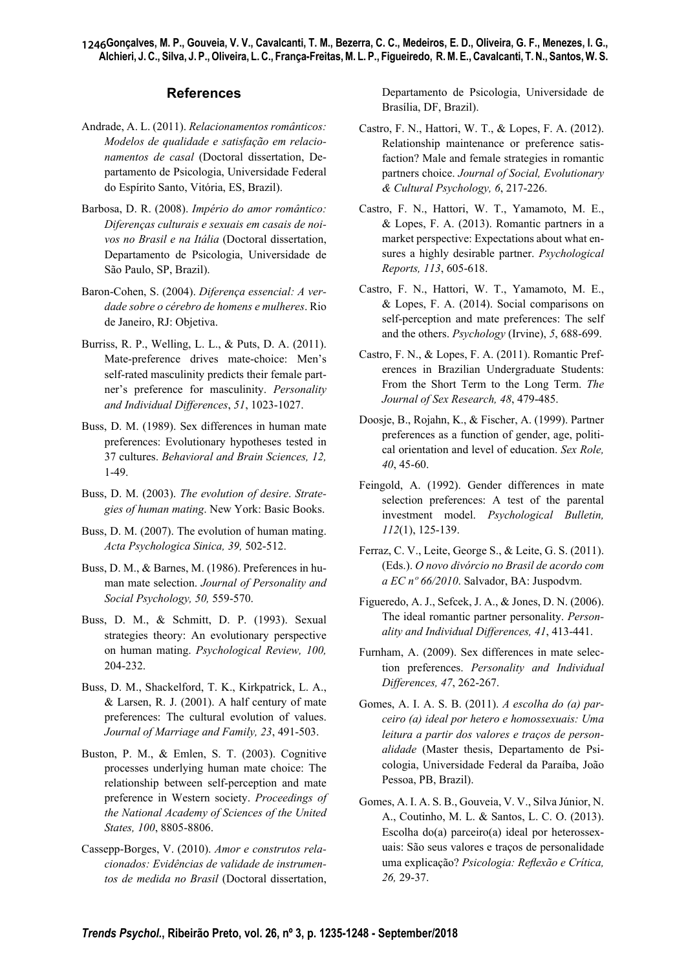#### **References**

- Andrade, A. L. (2011). *Relacionamentos românticos: Modelos de qualidade e satisfação em relacionamentos de casal* (Doctoral dissertation, Departamento de Psicologia, Universidade Federal do Espírito Santo, Vitória, ES, Brazil).
- Barbosa, D. R. (2008). *Império do amor romântico: Diferenças culturais e sexuais em casais de noivos no Brasil e na Itália* (Doctoral dissertation, Departamento de Psicologia, Universidade de São Paulo, SP, Brazil).
- Baron-Cohen, S. (2004). *Diferença essencial: A verdade sobre o cérebro de homens e mulheres*. Rio de Janeiro, RJ: Objetiva.
- Burriss, R. P., Welling, L. L., & Puts, D. A. (2011). Mate-preference drives mate-choice: Men's self-rated masculinity predicts their female partner's preference for masculinity. *Personality and Individual Differences*, *51*, 1023-1027.
- Buss, D. M. (1989). Sex differences in human mate preferences: Evolutionary hypotheses tested in 37 cultures. *Behavioral and Brain Sciences, 12,* 1-49.
- Buss, D. M. (2003). *The evolution of desire*. *Strategies of human mating*. New York: Basic Books.
- Buss, D. M. (2007). The evolution of human mating. *Acta Psychologica Sinica, 39,* 502-512.
- Buss, D. M., & Barnes, M. (1986). Preferences in human mate selection. *Journal of Personality and Social Psychology, 50,* 559-570.
- Buss, D. M., & Schmitt, D. P. (1993). Sexual strategies theory: An evolutionary perspective on human mating. *Psychological Review, 100,*  204-232.
- Buss, D. M., Shackelford, T. K., Kirkpatrick, L. A., & Larsen, R. J. (2001). A half century of mate preferences: The cultural evolution of values. *Journal of Marriage and Family, 23*, 491-503.
- Buston, P. M., & Emlen, S. T. (2003). Cognitive processes underlying human mate choice: The relationship between self-perception and mate preference in Western society. *Proceedings of the National Academy of Sciences of the United States, 100*, 8805-8806.
- Cassepp-Borges, V. (2010). *Amor e construtos relacionados: Evidências de validade de instrumentos de medida no Brasil* (Doctoral dissertation,

Departamento de Psicologia, Universidade de Brasília, DF, Brazil).

- Castro, F. N., Hattori, W. T., & Lopes, F. A. (2012). Relationship maintenance or preference satisfaction? Male and female strategies in romantic partners choice. *Journal of Social, Evolutionary & Cultural Psychology, 6*, 217-226.
- Castro, F. N., Hattori, W. T., Yamamoto, M. E., & Lopes, F. A. (2013). Romantic partners in a market perspective: Expectations about what ensures a highly desirable partner. *Psychological Reports, 113*, 605-618.
- Castro, F. N., Hattori, W. T., Yamamoto, M. E., & Lopes, F. A. (2014). Social comparisons on self-perception and mate preferences: The self and the others. *Psychology* (Irvine), *5*, 688-699.
- Castro, F. N., & Lopes, F. A. (2011). Romantic Preferences in Brazilian Undergraduate Students: From the Short Term to the Long Term. *The Journal of Sex Research, 48*, 479-485.
- Doosje, B., Rojahn, K., & Fischer, A. (1999). Partner preferences as a function of gender, age, political orientation and level of education. *Sex Role, 40*, 45-60.
- Feingold, A. (1992). Gender differences in mate selection preferences: A test of the parental investment model. *Psychological Bulletin, 112*(1), 125-139.
- Ferraz, C. V., Leite, George S., & Leite, G. S. (2011). (Eds.). *O novo divórcio no Brasil de acordo com a EC nº 66/2010*. Salvador, BA: Juspodvm.
- Figueredo, A. J., Sefcek, J. A., & Jones, D. N. (2006). The ideal romantic partner personality. *Personality and Individual Differences, 41*, 413-441.
- Furnham, A. (2009). Sex differences in mate selection preferences. *Personality and Individual Differences, 47*, 262-267.
- Gomes, A. I. A. S. B. (2011). *A escolha do (a) parceiro (a) ideal por hetero e homossexuais: Uma leitura a partir dos valores e traços de personalidade* (Master thesis, Departamento de Psicologia, Universidade Federal da Paraíba, João Pessoa, PB, Brazil).
- Gomes, A. I. A. S. B., Gouveia, V. V., Silva Júnior, N. A., Coutinho, M. L. & Santos, L. C. O. (2013). Escolha do(a) parceiro(a) ideal por heterossexuais: São seus valores e traços de personalidade uma explicação? Psicologia: Reflexão e Crítica, *26,* 29-37.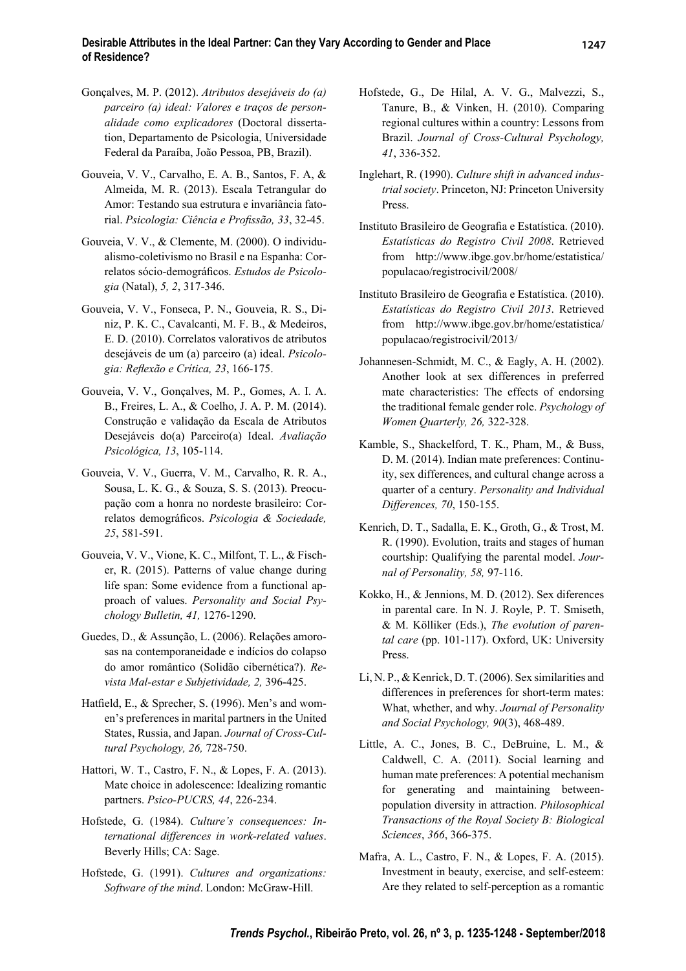- Gonçalves, M. P. (2012). *Atributos desejáveis do (a) parceiro (a) ideal: Valores e traços de personalidade como explicadores* (Doctoral dissertation, Departamento de Psicologia, Universidade Federal da Paraíba, João Pessoa, PB, Brazil).
- Gouveia, V. V., Carvalho, E. A. B., Santos, F. A, & Almeida, M. R. (2013). Escala Tetrangular do Amor: Testando sua estrutura e invariância fatorial. Psicologia: Ciência e Profissão, 33, 32-45.
- Gouveia, V. V., & Clemente, M. (2000). O individualismo-coletivismo no Brasil e na Espanha: Correlatos sócio-demográficos. Estudos de Psicolo*gia* (Natal), *5, 2*, 317-346.
- Gouveia, V. V., Fonseca, P. N., Gouveia, R. S., Diniz, P. K. C., Cavalcanti, M. F. B., & Medeiros, E. D. (2010). Correlatos valorativos de atributos desejáveis de um (a) parceiro (a) ideal. *Psicologia: Refl exão e Crítica, 23*, 166-175.
- Gouveia, V. V., Gonçalves, M. P., Gomes, A. I. A. B., Freires, L. A., & Coelho, J. A. P. M. (2014). Construção e validação da Escala de Atributos Desejáveis do(a) Parceiro(a) Ideal. *Avaliação Psicológica, 13*, 105-114.
- Gouveia, V. V., Guerra, V. M., Carvalho, R. R. A., Sousa, L. K. G., & Souza, S. S. (2013). Preocupação com a honra no nordeste brasileiro: Correlatos demográficos. Psicologia & Sociedade, *25*, 581-591.
- Gouveia, V. V., Vione, K. C., Milfont, T. L., & Fischer, R. (2015). Patterns of value change during life span: Some evidence from a functional approach of values. *Personality and Social Psychology Bulletin, 41,* 1276-1290.
- Guedes, D., & Assunção, L. (2006). Relações amorosas na contemporaneidade e indícios do colapso do amor romântico (Solidão cibernética?). *Revista Mal-estar e Subjetividade, 2,* 396-425.
- Hatfield, E., & Sprecher, S. (1996). Men's and women's preferences in marital partners in the United States, Russia, and Japan. *Journal of Cross-Cultural Psychology, 26,* 728-750.
- Hattori, W. T., Castro, F. N., & Lopes, F. A. (2013). Mate choice in adolescence: Idealizing romantic partners. *Psico-PUCRS, 44*, 226-234.
- Hofstede, G. (1984). *Culture's consequences: International differences in work-related values*. Beverly Hills; CA: Sage.
- Hofstede, G. (1991). *Cultures and organizations: Software of the mind*. London: McGraw-Hill.
- Hofstede, G., De Hilal, A. V. G., Malvezzi, S., Tanure, B., & Vinken, H. (2010). Comparing regional cultures within a country: Lessons from Brazil. *Journal of Cross-Cultural Psychology, 41*, 336-352.
- Inglehart, R. (1990). *Culture shift in advanced industrial society*. Princeton, NJ: Princeton University Press.
- Instituto Brasileiro de Geografia e Estatística. (2010). *Estatísticas do Registro Civil 2008*. Retrieved from http://www.ibge.gov.br/home/estatistica/ populacao/registrocivil/2008/
- Instituto Brasileiro de Geografia e Estatística. (2010). *Estatísticas do Registro Civil 2013*. Retrieved from http://www.ibge.gov.br/home/estatistica/ populacao/registrocivil/2013/
- Johannesen-Schmidt, M. C., & Eagly, A. H. (2002). Another look at sex differences in preferred mate characteristics: The effects of endorsing the traditional female gender role. *Psychology of Women Quarterly, 26,* 322-328.
- Kamble, S., Shackelford, T. K., Pham, M., & Buss, D. M. (2014). Indian mate preferences: Continuity, sex differences, and cultural change across a quarter of a century. *Personality and Individual Differences, 70*, 150-155.
- Kenrich, D. T., Sadalla, E. K., Groth, G., & Trost, M. R. (1990). Evolution, traits and stages of human courtship: Qualifying the parental model. *Journal of Personality, 58,* 97-116.
- Kokko, H., & Jennions, M. D. (2012). Sex diferences in parental care. In N. J. Royle, P. T. Smiseth, & M. Kölliker (Eds.), *The evolution of parental care* (pp. 101-117). Oxford, UK: University Press.
- Li, N. P., & Kenrick, D. T. (2006). Sex similarities and differences in preferences for short-term mates: What, whether, and why. *Journal of Personality and Social Psychology, 90*(3), 468-489.
- Little, A. C., Jones, B. C., DeBruine, L. M., & Caldwell, C. A. (2011). Social learning and human mate preferences: A potential mechanism for generating and maintaining betweenpopulation diversity in attraction. *Philosophical Transactions of the Royal Society B: Biological Sciences*, *366*, 366-375.
- Mafra, A. L., Castro, F. N., & Lopes, F. A. (2015). Investment in beauty, exercise, and self-esteem: Are they related to self-perception as a romantic